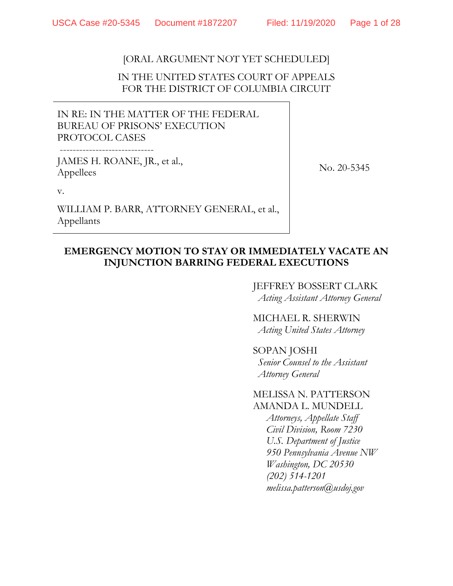# [ORAL ARGUMENT NOT YET SCHEDULED]

# IN THE UNITED STATES COURT OF APPEALS FOR THE DISTRICT OF COLUMBIA CIRCUIT

IN RE: IN THE MATTER OF THE FEDERAL BUREAU OF PRISONS' EXECUTION PROTOCOL CASES

JAMES H. ROANE, JR., et al., Appellees

No. 20-5345

v.

WILLIAM P. BARR, ATTORNEY GENERAL, et al., Appellants

# **EMERGENCY MOTION TO STAY OR IMMEDIATELY VACATE AN INJUNCTION BARRING FEDERAL EXECUTIONS**

## JEFFREY BOSSERT CLARK *Acting Assistant Attorney General*

MICHAEL R. SHERWIN *Acting United States Attorney*

# SOPAN JOSHI

*Senior Counsel to the Assistant Attorney General*

### MELISSA N. PATTERSON AMANDA L. MUNDELL

*Attorneys, Appellate Staff Civil Division, Room 7230 U.S. Department of Justice 950 Pennsylvania Avenue NW Washington, DC 20530 (202) 514-1201 melissa.patterson@usdoj.gov*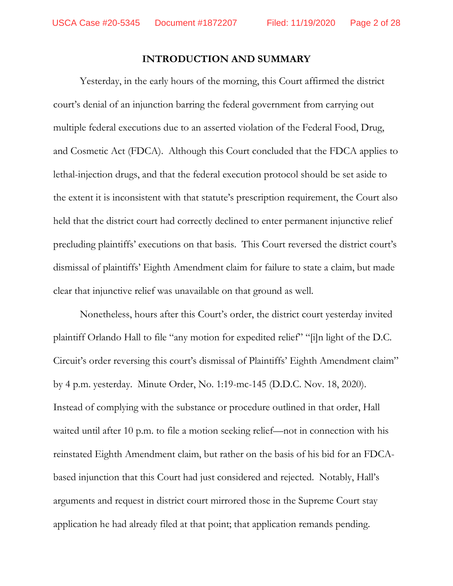## **INTRODUCTION AND SUMMARY**

Yesterday, in the early hours of the morning, this Court affirmed the district court's denial of an injunction barring the federal government from carrying out multiple federal executions due to an asserted violation of the Federal Food, Drug, and Cosmetic Act (FDCA). Although this Court concluded that the FDCA applies to lethal-injection drugs, and that the federal execution protocol should be set aside to the extent it is inconsistent with that statute's prescription requirement, the Court also held that the district court had correctly declined to enter permanent injunctive relief precluding plaintiffs' executions on that basis. This Court reversed the district court's dismissal of plaintiffs' Eighth Amendment claim for failure to state a claim, but made clear that injunctive relief was unavailable on that ground as well.

Nonetheless, hours after this Court's order, the district court yesterday invited plaintiff Orlando Hall to file "any motion for expedited relief" "[i]n light of the D.C. Circuit's order reversing this court's dismissal of Plaintiffs' Eighth Amendment claim" by 4 p.m. yesterday. Minute Order, No. 1:19-mc-145 (D.D.C. Nov. 18, 2020). Instead of complying with the substance or procedure outlined in that order, Hall waited until after 10 p.m. to file a motion seeking relief—not in connection with his reinstated Eighth Amendment claim, but rather on the basis of his bid for an FDCAbased injunction that this Court had just considered and rejected. Notably, Hall's arguments and request in district court mirrored those in the Supreme Court stay application he had already filed at that point; that application remands pending.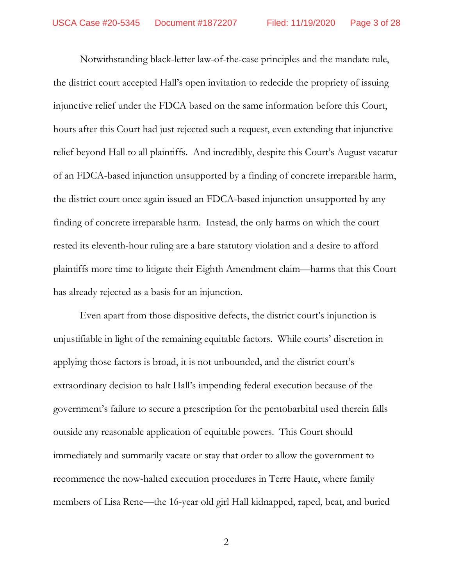Notwithstanding black-letter law-of-the-case principles and the mandate rule, the district court accepted Hall's open invitation to redecide the propriety of issuing injunctive relief under the FDCA based on the same information before this Court, hours after this Court had just rejected such a request, even extending that injunctive relief beyond Hall to all plaintiffs. And incredibly, despite this Court's August vacatur of an FDCA-based injunction unsupported by a finding of concrete irreparable harm, the district court once again issued an FDCA-based injunction unsupported by any finding of concrete irreparable harm. Instead, the only harms on which the court rested its eleventh-hour ruling are a bare statutory violation and a desire to afford plaintiffs more time to litigate their Eighth Amendment claim—harms that this Court has already rejected as a basis for an injunction.

Even apart from those dispositive defects, the district court's injunction is unjustifiable in light of the remaining equitable factors. While courts' discretion in applying those factors is broad, it is not unbounded, and the district court's extraordinary decision to halt Hall's impending federal execution because of the government's failure to secure a prescription for the pentobarbital used therein falls outside any reasonable application of equitable powers. This Court should immediately and summarily vacate or stay that order to allow the government to recommence the now-halted execution procedures in Terre Haute, where family members of Lisa Rene—the 16-year old girl Hall kidnapped, raped, beat, and buried

2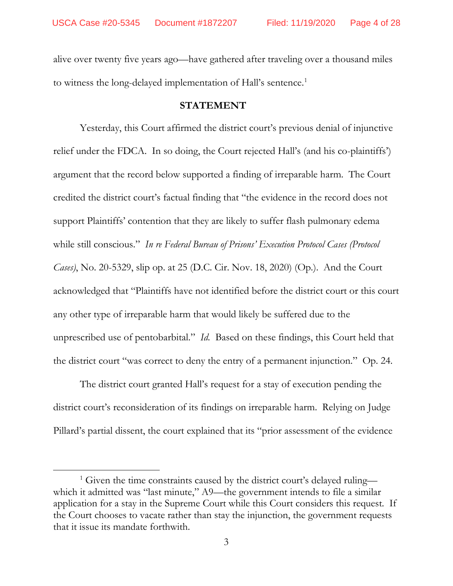alive over twenty five years ago—have gathered after traveling over a thousand miles to witness the long-delayed implementation of Hall's sentence.<sup>[1](#page-3-0)</sup>

### **STATEMENT**

Yesterday, this Court affirmed the district court's previous denial of injunctive relief under the FDCA. In so doing, the Court rejected Hall's (and his co-plaintiffs') argument that the record below supported a finding of irreparable harm. The Court credited the district court's factual finding that "the evidence in the record does not support Plaintiffs' contention that they are likely to suffer flash pulmonary edema while still conscious." *In re Federal Bureau of Prisons' Execution Protocol Cases (Protocol Cases)*, No. 20-5329, slip op. at 25 (D.C. Cir. Nov. 18, 2020) (Op.). And the Court acknowledged that "Plaintiffs have not identified before the district court or this court any other type of irreparable harm that would likely be suffered due to the unprescribed use of pentobarbital." *Id.* Based on these findings, this Court held that the district court "was correct to deny the entry of a permanent injunction." Op. 24.

The district court granted Hall's request for a stay of execution pending the district court's reconsideration of its findings on irreparable harm. Relying on Judge Pillard's partial dissent, the court explained that its "prior assessment of the evidence

 $\overline{a}$ 

<span id="page-3-0"></span><sup>&</sup>lt;sup>1</sup> Given the time constraints caused by the district court's delayed ruling which it admitted was "last minute," A9—the government intends to file a similar application for a stay in the Supreme Court while this Court considers this request. If the Court chooses to vacate rather than stay the injunction, the government requests that it issue its mandate forthwith.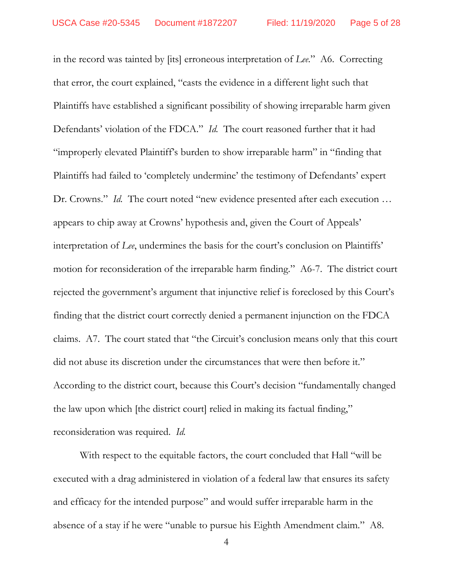in the record was tainted by [its] erroneous interpretation of *Lee*." A6. Correcting that error, the court explained, "casts the evidence in a different light such that Plaintiffs have established a significant possibility of showing irreparable harm given Defendants' violation of the FDCA." *Id.* The court reasoned further that it had "improperly elevated Plaintiff's burden to show irreparable harm" in "finding that Plaintiffs had failed to 'completely undermine' the testimony of Defendants' expert Dr. Crowns." *Id.* The court noted "new evidence presented after each execution ... appears to chip away at Crowns' hypothesis and, given the Court of Appeals' interpretation of *Lee*, undermines the basis for the court's conclusion on Plaintiffs' motion for reconsideration of the irreparable harm finding." A6-7. The district court rejected the government's argument that injunctive relief is foreclosed by this Court's finding that the district court correctly denied a permanent injunction on the FDCA claims. A7. The court stated that "the Circuit's conclusion means only that this court did not abuse its discretion under the circumstances that were then before it." According to the district court, because this Court's decision "fundamentally changed the law upon which [the district court] relied in making its factual finding," reconsideration was required. *Id.*

With respect to the equitable factors, the court concluded that Hall "will be executed with a drag administered in violation of a federal law that ensures its safety and efficacy for the intended purpose" and would suffer irreparable harm in the absence of a stay if he were "unable to pursue his Eighth Amendment claim." A8.

<sup>4</sup>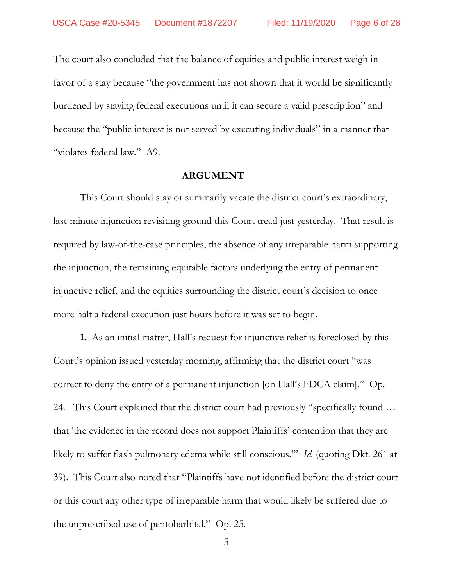The court also concluded that the balance of equities and public interest weigh in favor of a stay because "the government has not shown that it would be significantly burdened by staying federal executions until it can secure a valid prescription" and because the "public interest is not served by executing individuals" in a manner that "violates federal law." A9.

### **ARGUMENT**

This Court should stay or summarily vacate the district court's extraordinary, last-minute injunction revisiting ground this Court tread just yesterday. That result is required by law-of-the-case principles, the absence of any irreparable harm supporting the injunction, the remaining equitable factors underlying the entry of permanent injunctive relief, and the equities surrounding the district court's decision to once more halt a federal execution just hours before it was set to begin.

**1.** As an initial matter, Hall's request for injunctive relief is foreclosed by this Court's opinion issued yesterday morning, affirming that the district court "was correct to deny the entry of a permanent injunction [on Hall's FDCA claim]." Op. 24. This Court explained that the district court had previously "specifically found … that 'the evidence in the record does not support Plaintiffs' contention that they are likely to suffer flash pulmonary edema while still conscious.'" *Id.* (quoting Dkt. 261 at 39). This Court also noted that "Plaintiffs have not identified before the district court or this court any other type of irreparable harm that would likely be suffered due to the unprescribed use of pentobarbital." Op. 25.

5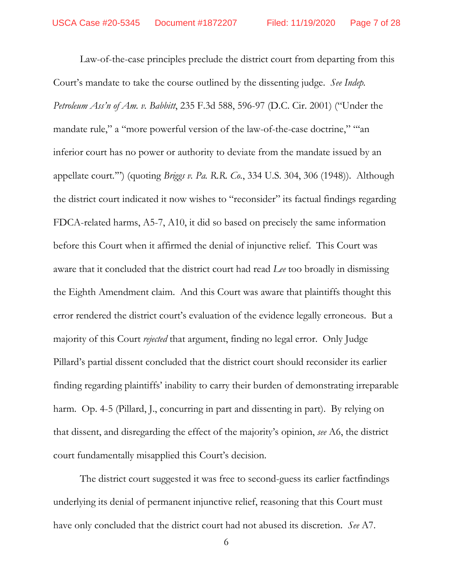Law-of-the-case principles preclude the district court from departing from this Court's mandate to take the course outlined by the dissenting judge. *See Indep. Petroleum Ass'n of Am. v. Babbitt*, 235 F.3d 588, 596-97 (D.C. Cir. 2001) ("Under the mandate rule," a "more powerful version of the law-of-the-case doctrine," "an inferior court has no power or authority to deviate from the mandate issued by an appellate court.'") (quoting *Briggs v. Pa. R.R. Co.*, 334 U.S. 304, 306 (1948)). Although the district court indicated it now wishes to "reconsider" its factual findings regarding FDCA-related harms, A5-7, A10, it did so based on precisely the same information before this Court when it affirmed the denial of injunctive relief. This Court was aware that it concluded that the district court had read *Lee* too broadly in dismissing the Eighth Amendment claim. And this Court was aware that plaintiffs thought this error rendered the district court's evaluation of the evidence legally erroneous. But a majority of this Court *rejected* that argument, finding no legal error. Only Judge Pillard's partial dissent concluded that the district court should reconsider its earlier finding regarding plaintiffs' inability to carry their burden of demonstrating irreparable harm. Op. 4-5 (Pillard, J., concurring in part and dissenting in part). By relying on that dissent, and disregarding the effect of the majority's opinion, *see* A6, the district court fundamentally misapplied this Court's decision.

The district court suggested it was free to second-guess its earlier factfindings underlying its denial of permanent injunctive relief, reasoning that this Court must have only concluded that the district court had not abused its discretion. *See* A7.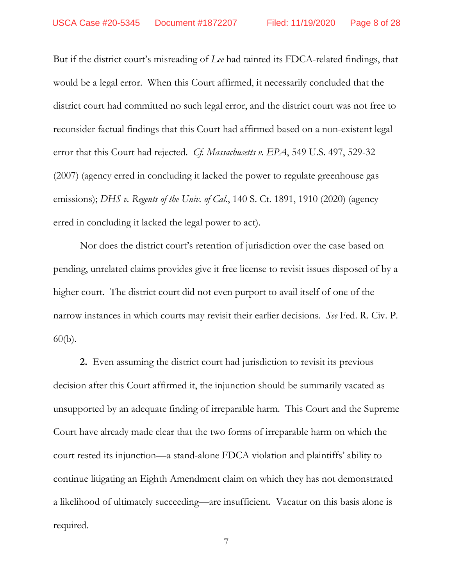But if the district court's misreading of *Lee* had tainted its FDCA-related findings, that would be a legal error. When this Court affirmed, it necessarily concluded that the district court had committed no such legal error, and the district court was not free to reconsider factual findings that this Court had affirmed based on a non-existent legal error that this Court had rejected. *Cf. Massachusetts v. EPA*, 549 U.S. 497, 529-32 (2007) (agency erred in concluding it lacked the power to regulate greenhouse gas emissions); *DHS v. Regents of the Univ. of Cal.*, 140 S. Ct. 1891, 1910 (2020) (agency erred in concluding it lacked the legal power to act).

Nor does the district court's retention of jurisdiction over the case based on pending, unrelated claims provides give it free license to revisit issues disposed of by a higher court. The district court did not even purport to avail itself of one of the narrow instances in which courts may revisit their earlier decisions. *See* Fed. R. Civ. P. 60(b).

**2.** Even assuming the district court had jurisdiction to revisit its previous decision after this Court affirmed it, the injunction should be summarily vacated as unsupported by an adequate finding of irreparable harm. This Court and the Supreme Court have already made clear that the two forms of irreparable harm on which the court rested its injunction—a stand-alone FDCA violation and plaintiffs' ability to continue litigating an Eighth Amendment claim on which they has not demonstrated a likelihood of ultimately succeeding—are insufficient. Vacatur on this basis alone is required.

7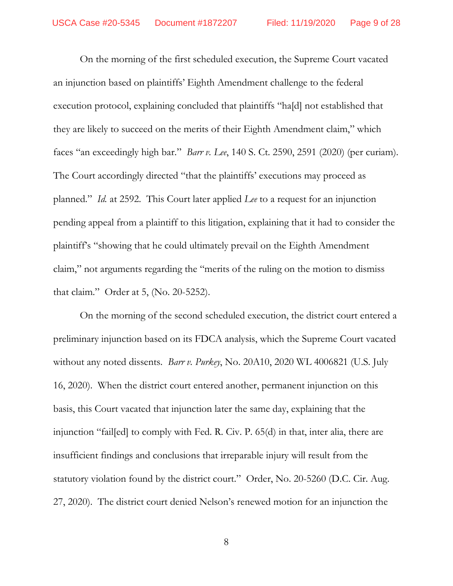On the morning of the first scheduled execution, the Supreme Court vacated an injunction based on plaintiffs' Eighth Amendment challenge to the federal execution protocol, explaining concluded that plaintiffs "ha[d] not established that they are likely to succeed on the merits of their Eighth Amendment claim," which faces "an exceedingly high bar." *Barr v. Lee*, 140 S. Ct. 2590, 2591 (2020) (per curiam). The Court accordingly directed "that the plaintiffs' executions may proceed as planned." *Id.* at 2592. This Court later applied *Lee* to a request for an injunction pending appeal from a plaintiff to this litigation, explaining that it had to consider the plaintiff's "showing that he could ultimately prevail on the Eighth Amendment claim," not arguments regarding the "merits of the ruling on the motion to dismiss that claim." Order at 5, (No. 20-5252).

On the morning of the second scheduled execution, the district court entered a preliminary injunction based on its FDCA analysis, which the Supreme Court vacated without any noted dissents. *Barr v. Purkey*, No. 20A10, 2020 WL 4006821 (U.S. July 16, 2020). When the district court entered another, permanent injunction on this basis, this Court vacated that injunction later the same day, explaining that the injunction "fail[ed] to comply with Fed. R. Civ. P. 65(d) in that, inter alia, there are insufficient findings and conclusions that irreparable injury will result from the statutory violation found by the district court." Order, No. 20-5260 (D.C. Cir. Aug. 27, 2020). The district court denied Nelson's renewed motion for an injunction the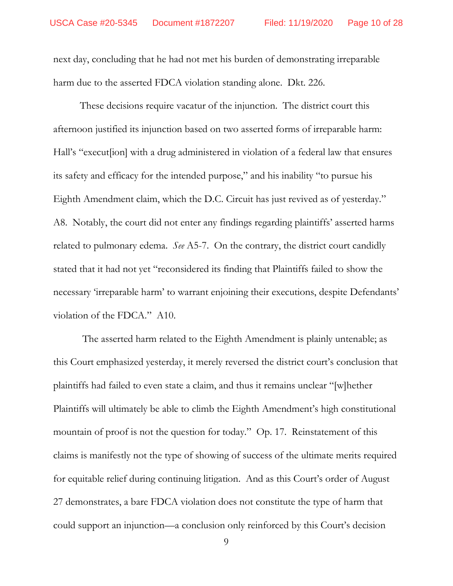next day, concluding that he had not met his burden of demonstrating irreparable harm due to the asserted FDCA violation standing alone. Dkt. 226.

These decisions require vacatur of the injunction. The district court this afternoon justified its injunction based on two asserted forms of irreparable harm: Hall's "execut[ion] with a drug administered in violation of a federal law that ensures its safety and efficacy for the intended purpose," and his inability "to pursue his Eighth Amendment claim, which the D.C. Circuit has just revived as of yesterday." A8. Notably, the court did not enter any findings regarding plaintiffs' asserted harms related to pulmonary edema. *See* A5-7. On the contrary, the district court candidly stated that it had not yet "reconsidered its finding that Plaintiffs failed to show the necessary 'irreparable harm' to warrant enjoining their executions, despite Defendants' violation of the FDCA." A10.

The asserted harm related to the Eighth Amendment is plainly untenable; as this Court emphasized yesterday, it merely reversed the district court's conclusion that plaintiffs had failed to even state a claim, and thus it remains unclear "[w]hether Plaintiffs will ultimately be able to climb the Eighth Amendment's high constitutional mountain of proof is not the question for today." Op. 17. Reinstatement of this claims is manifestly not the type of showing of success of the ultimate merits required for equitable relief during continuing litigation. And as this Court's order of August 27 demonstrates, a bare FDCA violation does not constitute the type of harm that could support an injunction—a conclusion only reinforced by this Court's decision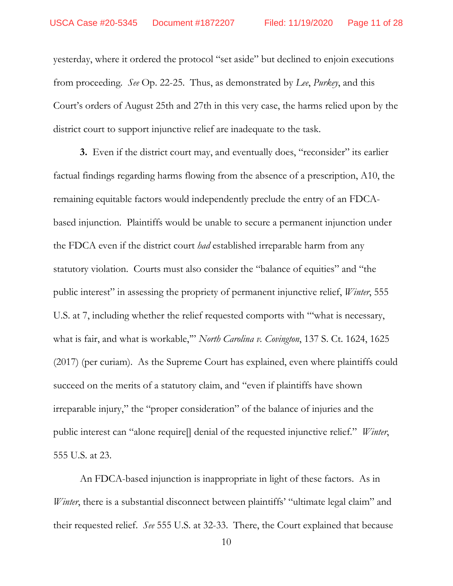yesterday, where it ordered the protocol "set aside" but declined to enjoin executions from proceeding. *See* Op. 22-25. Thus, as demonstrated by *Lee*, *Purkey*, and this Court's orders of August 25th and 27th in this very case, the harms relied upon by the district court to support injunctive relief are inadequate to the task.

**3.** Even if the district court may, and eventually does, "reconsider" its earlier factual findings regarding harms flowing from the absence of a prescription, A10, the remaining equitable factors would independently preclude the entry of an FDCAbased injunction. Plaintiffs would be unable to secure a permanent injunction under the FDCA even if the district court *had* established irreparable harm from any statutory violation. Courts must also consider the "balance of equities" and "the public interest" in assessing the propriety of permanent injunctive relief, *Winter*, 555 U.S. at 7, including whether the relief requested comports with "'what is necessary, what is fair, and what is workable,'" *North Carolina v. Covington*, 137 S. Ct. 1624, 1625 (2017) (per curiam). As the Supreme Court has explained, even where plaintiffs could succeed on the merits of a statutory claim, and "even if plaintiffs have shown irreparable injury," the "proper consideration" of the balance of injuries and the public interest can "alone require[] denial of the requested injunctive relief." *Winter*, 555 U.S. at 23.

An FDCA-based injunction is inappropriate in light of these factors. As in *Winter*, there is a substantial disconnect between plaintiffs' "ultimate legal claim" and their requested relief. *See* 555 U.S. at 32-33. There, the Court explained that because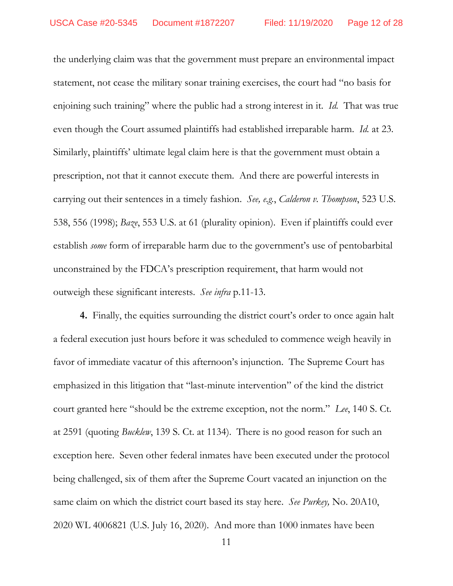the underlying claim was that the government must prepare an environmental impact statement, not cease the military sonar training exercises, the court had "no basis for enjoining such training" where the public had a strong interest in it. *Id.* That was true even though the Court assumed plaintiffs had established irreparable harm. *Id.* at 23. Similarly, plaintiffs' ultimate legal claim here is that the government must obtain a prescription, not that it cannot execute them. And there are powerful interests in carrying out their sentences in a timely fashion. *See, e.g.*, *Calderon v. Thompson*, 523 U.S. 538, 556 (1998); *Baze*, 553 U.S. at 61 (plurality opinion). Even if plaintiffs could ever establish *some* form of irreparable harm due to the government's use of pentobarbital unconstrained by the FDCA's prescription requirement, that harm would not outweigh these significant interests. *See infra* p.11-13.

**4.** Finally, the equities surrounding the district court's order to once again halt a federal execution just hours before it was scheduled to commence weigh heavily in favor of immediate vacatur of this afternoon's injunction. The Supreme Court has emphasized in this litigation that "last-minute intervention" of the kind the district court granted here "should be the extreme exception, not the norm." *Lee*, 140 S. Ct. at 2591 (quoting *Bucklew*, 139 S. Ct. at 1134). There is no good reason for such an exception here. Seven other federal inmates have been executed under the protocol being challenged, six of them after the Supreme Court vacated an injunction on the same claim on which the district court based its stay here. *See Purkey,* No. 20A10, 2020 WL 4006821 (U.S. July 16, 2020). And more than 1000 inmates have been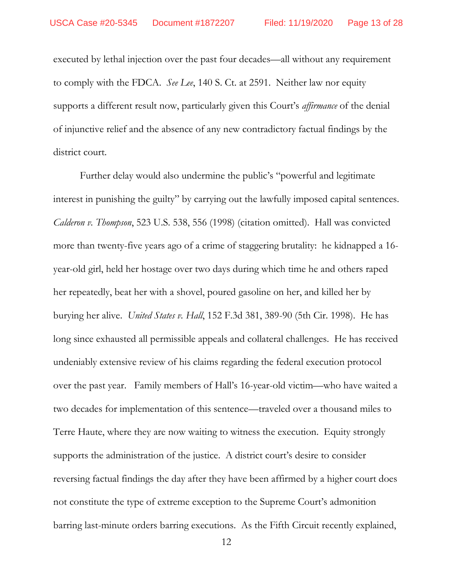executed by lethal injection over the past four decades—all without any requirement to comply with the FDCA. *See Lee*, 140 S. Ct. at 2591.Neither law nor equity supports a different result now, particularly given this Court's *affirmance* of the denial of injunctive relief and the absence of any new contradictory factual findings by the district court.

Further delay would also undermine the public's "powerful and legitimate interest in punishing the guilty" by carrying out the lawfully imposed capital sentences. *Calderon v. Thompson*, 523 U.S. 538, 556 (1998) (citation omitted). Hall was convicted more than twenty-five years ago of a crime of staggering brutality: he kidnapped a 16 year-old girl, held her hostage over two days during which time he and others raped her repeatedly, beat her with a shovel, poured gasoline on her, and killed her by burying her alive. *United States v. Hall*, 152 F.3d 381, 389-90 (5th Cir. 1998). He has long since exhausted all permissible appeals and collateral challenges. He has received undeniably extensive review of his claims regarding the federal execution protocol over the past year. Family members of Hall's 16-year-old victim—who have waited a two decades for implementation of this sentence—traveled over a thousand miles to Terre Haute, where they are now waiting to witness the execution. Equity strongly supports the administration of the justice. A district court's desire to consider reversing factual findings the day after they have been affirmed by a higher court does not constitute the type of extreme exception to the Supreme Court's admonition barring last-minute orders barring executions. As the Fifth Circuit recently explained,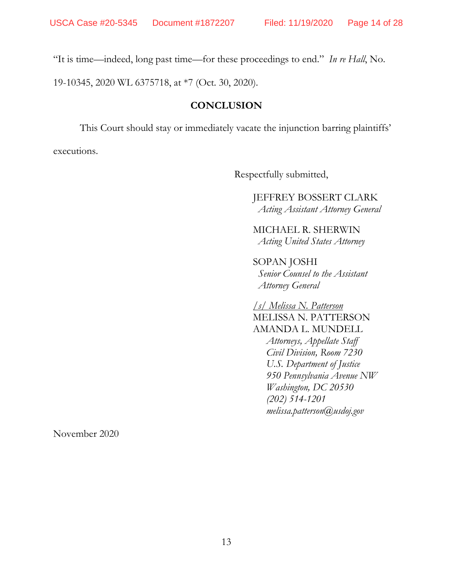"It is time—indeed, long past time—for these proceedings to end." *In re Hall*, No.

19-10345, 2020 WL 6375718, at \*7 (Oct. 30, 2020).

# **CONCLUSION**

This Court should stay or immediately vacate the injunction barring plaintiffs'

executions.

Respectfully submitted,

JEFFREY BOSSERT CLARK *Acting Assistant Attorney General*

MICHAEL R. SHERWIN *Acting United States Attorney*

SOPAN JOSHI *Senior Counsel to the Assistant Attorney General*

*/s/ Melissa N. Patterson*  MELISSA N. PATTERSON AMANDA L. MUNDELL *Attorneys, Appellate Staff Civil Division, Room 7230 U.S. Department of Justice 950 Pennsylvania Avenue NW Washington, DC 20530 (202) 514-1201 melissa.patterson@usdoj.gov*

November 2020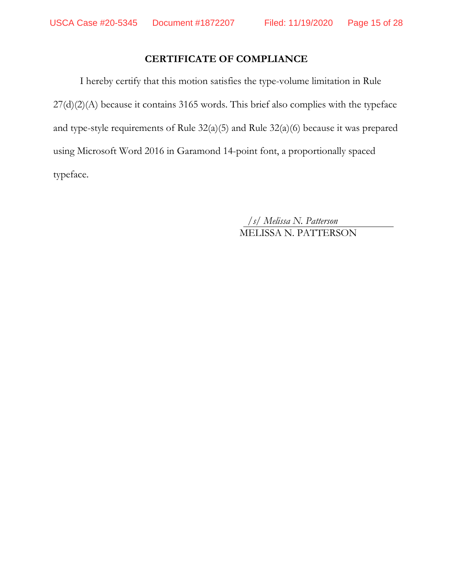# **CERTIFICATE OF COMPLIANCE**

I hereby certify that this motion satisfies the type-volume limitation in Rule 27(d)(2)(A) because it contains 3165 words. This brief also complies with the typeface and type-style requirements of Rule 32(a)(5) and Rule 32(a)(6) because it was prepared using Microsoft Word 2016 in Garamond 14-point font, a proportionally spaced typeface.

> */s/ Melissa N. Patterson* MELISSA N. PATTERSON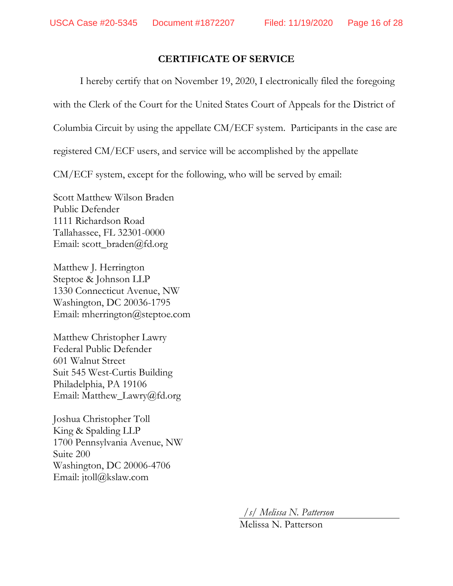## **CERTIFICATE OF SERVICE**

I hereby certify that on November 19, 2020, I electronically filed the foregoing

with the Clerk of the Court for the United States Court of Appeals for the District of

Columbia Circuit by using the appellate CM/ECF system. Participants in the case are

registered CM/ECF users, and service will be accomplished by the appellate

CM/ECF system, except for the following, who will be served by email:

Scott Matthew Wilson Braden Public Defender 1111 Richardson Road Tallahassee, FL 32301-0000 Email: scott\_braden@fd.org

Matthew J. Herrington Steptoe & Johnson LLP 1330 Connecticut Avenue, NW Washington, DC 20036-1795 Email: mherrington@steptoe.com

Matthew Christopher Lawry Federal Public Defender 601 Walnut Street Suit 545 West-Curtis Building Philadelphia, PA 19106 Email: Matthew\_Lawry@fd.org

Joshua Christopher Toll King & Spalding LLP 1700 Pennsylvania Avenue, NW Suite 200 Washington, DC 20006-4706 Email: jtoll@kslaw.com

*/s/ Melissa N. Patterson*

Melissa N. Patterson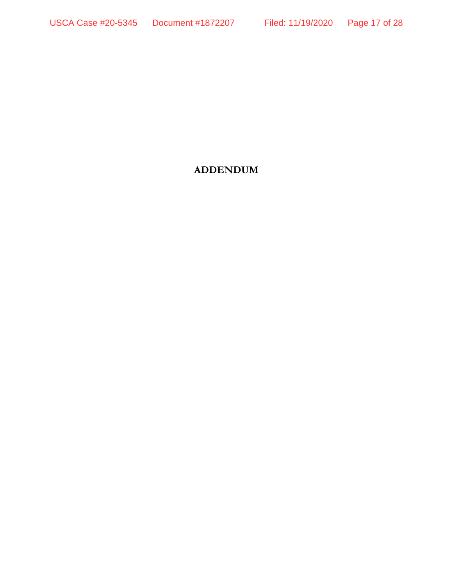# **ADDENDUM**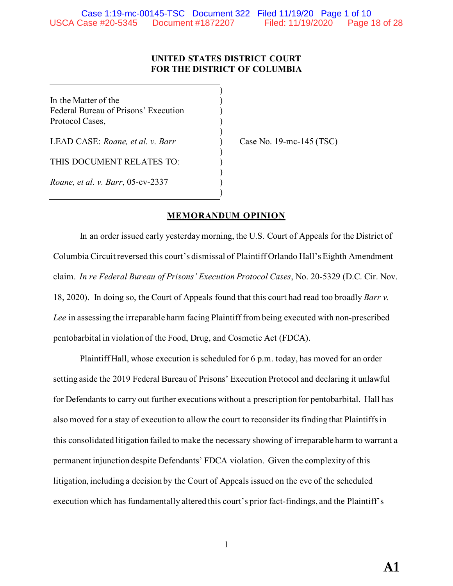### **UNITED STATES DISTRICT COURT FOR THE DISTRICT OF COLUMBIA**

)

)

)

)

)

In the Matter of the  $($ Federal Bureau of Prisons' Execution ) Protocol Cases, )

LEAD CASE: *Roane, et al. v. Barr* ) Case No. 19-mc-145 (TSC)

THIS DOCUMENT RELATES TO:

*Roane, et al. v. Barr*, 05-cv-2337 )

### **MEMORANDUM OPINION**

In an order issued early yesterdaymorning, the U.S. Court of Appeals for the District of Columbia Circuit reversed this court's dismissal of Plaintiff Orlando Hall's Eighth Amendment claim. *In re Federal Bureau of Prisons' Execution Protocol Cases*, No. 20-5329 (D.C. Cir. Nov. 18, 2020). In doing so, the Court of Appeals found that this court had read too broadly *Barr v. Lee* in assessing the irreparable harm facing Plaintiff from being executed with non-prescribed pentobarbital in violation of the Food, Drug, and Cosmetic Act (FDCA).

Plaintiff Hall, whose execution is scheduled for 6 p.m. today, has moved for an order setting aside the 2019 Federal Bureau of Prisons' Execution Protocol and declaring it unlawful for Defendants to carry out further executions without a prescription for pentobarbital. Hall has also moved for a stay of execution to allow the court to reconsider its finding that Plaintiffs in this consolidated litigation failed to make the necessary showing of irreparable harm to warrant a permanent injunction despite Defendants' FDCA violation. Given the complexity of this litigation, including a decision by the Court of Appeals issued on the eve of the scheduled execution which has fundamentally altered this court's prior fact-findings, and the Plaintiff's

1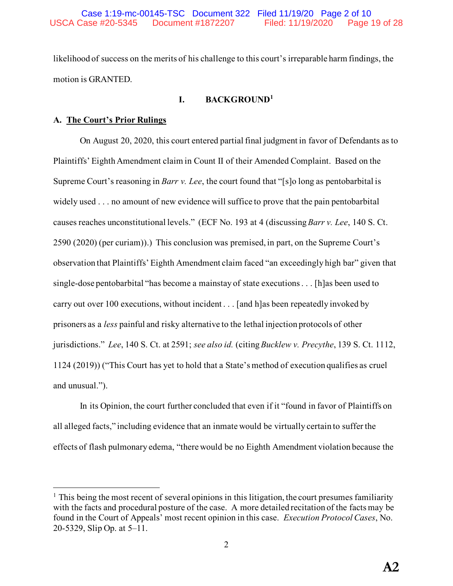likelihood of success on the merits of his challenge to this court's irreparable harm findings, the motion is GRANTED.

## **I. BACKGROUND<sup>1</sup>**

### **A. The Court's Prior Rulings**

On August 20, 2020, this court entered partial final judgment in favor of Defendants as to Plaintiffs' Eighth Amendment claim in Count II of their Amended Complaint. Based on the Supreme Court's reasoning in *Barr v. Lee*, the court found that "[s]o long as pentobarbital is widely used . . . no amount of new evidence will suffice to prove that the pain pentobarbital causes reaches unconstitutional levels." (ECF No. 193 at 4 (discussing *Barr v. Lee*, 140 S. Ct. 2590 (2020) (per curiam)).) This conclusion was premised, in part, on the Supreme Court's observation that Plaintiffs' Eighth Amendment claim faced "an exceedingly high bar" given that single-dose pentobarbital "has become a mainstay of state executions . . . [h]as been used to carry out over 100 executions, without incident . . . [and h]as been repeatedly invoked by prisoners as a *less* painful and risky alternative to the lethal injection protocols of other jurisdictions." *Lee*, 140 S. Ct. at 2591; *see also id.* (citing *Bucklew v. Precythe*, 139 S. Ct. 1112, 1124 (2019)) ("This Court has yet to hold that a State's method of execution qualifies as cruel and unusual.").

In its Opinion, the court further concluded that even if it "found in favor of Plaintiffs on all alleged facts," including evidence that an inmate would be virtually certain to suffer the effects of flash pulmonary edema, "there would be no Eighth Amendment violation because the

 $<sup>1</sup>$  This being the most recent of several opinions in this litigation, the court presumes familiarity</sup> with the facts and procedural posture of the case. A more detailed recitation of the facts may be found in the Court of Appeals' most recent opinion in this case. *Execution Protocol Cases*, No. 20-5329, Slip Op. at 5–11.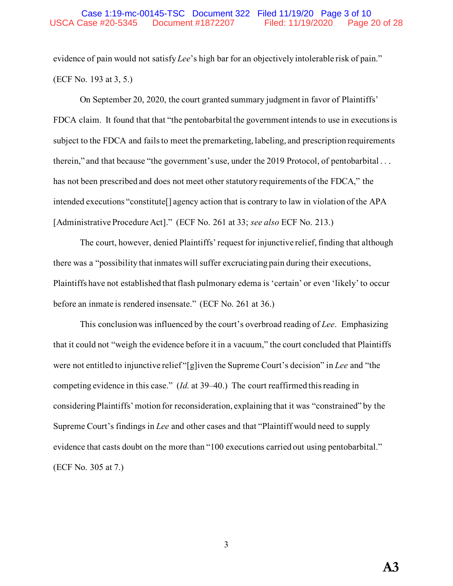evidence of pain would not satisfy *Lee*'s high bar for an objectively intolerable risk of pain." (ECF No. 193 at 3, 5.)

On September 20, 2020, the court granted summary judgment in favor of Plaintiffs' FDCA claim. It found that that "the pentobarbital the government intends to use in executions is subject to the FDCA and fails to meet the premarketing, labeling, and prescription requirements therein," and that because "the government's use, under the 2019 Protocol, of pentobarbital . . . has not been prescribed and does not meet other statutory requirements of the FDCA," the intended executions "constitute[] agency action that is contrary to law in violation of the APA [Administrative Procedure Act]." (ECF No. 261 at 33; *see also* ECF No. 213.)

The court, however, denied Plaintiffs' request for injunctive relief, finding that although there was a "possibility that inmates will suffer excruciating pain during their executions, Plaintiffs have not established that flash pulmonary edema is 'certain' or even 'likely' to occur before an inmate is rendered insensate." (ECF No. 261 at 36.)

This conclusion was influenced by the court's overbroad reading of *Lee*. Emphasizing that it could not "weigh the evidence before it in a vacuum," the court concluded that Plaintiffs were not entitled to injunctive relief "[g]iven the Supreme Court's decision" in *Lee* and "the competing evidence in this case." (*Id.* at 39–40.) The court reaffirmed this reading in considering Plaintiffs' motion for reconsideration, explaining that it was "constrained" by the Supreme Court's findings in *Lee* and other cases and that "Plaintiff would need to supply evidence that casts doubt on the more than "100 executions carried out using pentobarbital." (ECF No. 305 at 7.)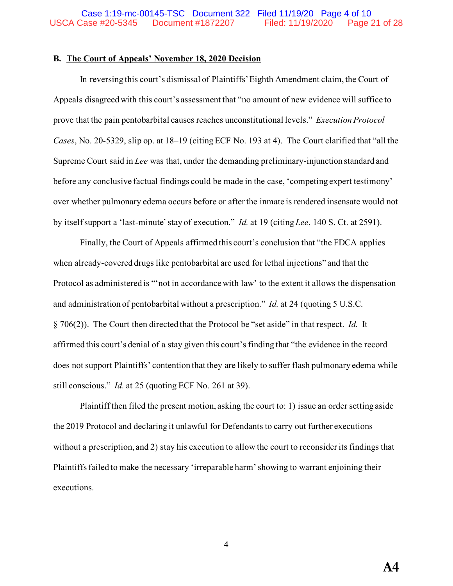#### **B. The Court of Appeals' November 18, 2020 Decision**

In reversing this court's dismissal of Plaintiffs' Eighth Amendment claim, the Court of Appeals disagreed with this court's assessment that "no amount of new evidence will suffice to prove that the pain pentobarbital causes reaches unconstitutional levels." *Execution Protocol Cases*, No. 20-5329, slip op. at 18–19 (citing ECF No. 193 at 4). The Court clarified that "all the Supreme Court said in *Lee* was that, under the demanding preliminary-injunction standard and before any conclusive factual findings could be made in the case, 'competing expert testimony' over whether pulmonary edema occurs before or after the inmate is rendered insensate would not by itself support a 'last-minute' stay of execution." *Id.* at 19 (citing *Lee*, 140 S. Ct. at 2591).

Finally, the Court of Appeals affirmed this court's conclusion that "the FDCA applies when already-covered drugs like pentobarbital are used for lethal injections" and that the Protocol as administered is "'not in accordance with law' to the extent it allows the dispensation and administration of pentobarbital without a prescription." *Id.* at 24 (quoting 5 U.S.C. § 706(2)). The Court then directed that the Protocol be "set aside" in that respect. *Id.* It affirmed this court's denial of a stay given this court's finding that "the evidence in the record does not support Plaintiffs' contention that they are likely to suffer flash pulmonary edema while still conscious." *Id.* at 25 (quoting ECF No. 261 at 39).

Plaintiff then filed the present motion, asking the court to: 1) issue an order setting aside the 2019 Protocol and declaring it unlawful for Defendants to carry out further executions without a prescription, and 2) stay his execution to allow the court to reconsider its findings that Plaintiffs failed to make the necessary 'irreparable harm' showing to warrant enjoining their executions.

4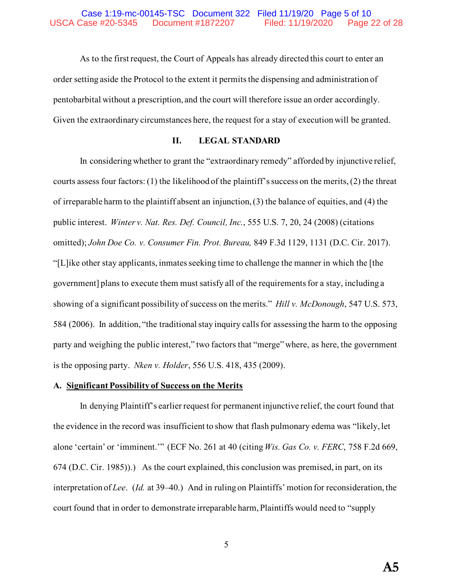As to the first request, the Court of Appeals has already directed this court to enter an order setting aside the Protocol to the extent it permits the dispensing and administration of pentobarbital without a prescription, and the court will therefore issue an order accordingly. Given the extraordinary circumstances here, the request for a stay of execution will be granted.

### **II. LEGAL STANDARD**

In considering whether to grant the "extraordinary remedy" afforded by injunctive relief, courts assess four factors: (1) the likelihood of the plaintiff's success on the merits, (2) the threat of irreparable harm to the plaintiff absent an injunction, (3) the balance of equities, and (4) the public interest. *Winter v. Nat. Res. Def. Council, Inc.*, 555 U.S. 7, 20, 24 (2008) (citations omitted); *John Doe Co. v. Consumer Fin. Prot. Bureau,* 849 F.3d 1129, 1131 (D.C. Cir. 2017). "[L]ike other stay applicants, inmates seeking time to challenge the manner in which the [the government] plans to execute them must satisfy all of the requirements for a stay, including a showing of a significant possibility of success on the merits." *Hill v. McDonough*, 547 U.S. 573, 584 (2006). In addition, "the traditional stay inquiry calls for assessing the harm to the opposing party and weighing the public interest," two factors that "merge" where, as here, the government is the opposing party. *Nken v. Holder*, 556 U.S. 418, 435 (2009).

#### **A. Significant Possibility of Success on the Merits**

In denying Plaintiff's earlier request for permanent injunctive relief, the court found that the evidence in the record was insufficient to show that flash pulmonary edema was "likely, let alone 'certain' or 'imminent.'" (ECF No. 261 at 40 (citing *Wis. Gas Co. v. FERC*, 758 F.2d 669, 674 (D.C. Cir. 1985)).) As the court explained, this conclusion was premised, in part, on its interpretation of *Lee*. (*Id.* at 39–40.) And in ruling on Plaintiffs' motion for reconsideration, the court found that in order to demonstrate irreparable harm, Plaintiffs would need to "supply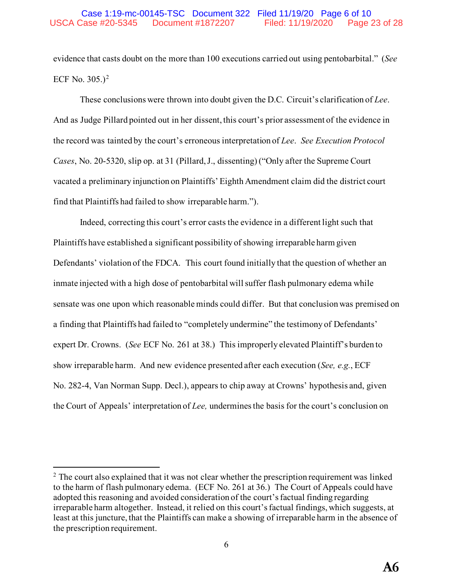evidence that casts doubt on the more than 100 executions carried out using pentobarbital." (*See*  ECF No. 305.)<sup>2</sup>

These conclusions were thrown into doubt given the D.C. Circuit's clarification of *Lee*. And as Judge Pillard pointed out in her dissent, this court's prior assessment of the evidence in the record was tainted by the court's erroneous interpretation of *Lee*. *See Execution Protocol Cases*, No. 20-5320, slip op. at 31 (Pillard, J., dissenting) ("Only after the Supreme Court vacated a preliminary injunction on Plaintiffs' Eighth Amendment claim did the district court find that Plaintiffs had failed to show irreparable harm.").

Indeed, correcting this court's error casts the evidence in a different light such that Plaintiffs have established a significant possibility of showing irreparable harm given Defendants' violation of the FDCA. This court found initially that the question of whether an inmate injected with a high dose of pentobarbital will suffer flash pulmonary edema while sensate was one upon which reasonable minds could differ. But that conclusion was premised on a finding that Plaintiffs had failed to "completely undermine" the testimony of Defendants' expert Dr. Crowns. (*See* ECF No. 261 at 38.) This improperly elevated Plaintiff's burden to show irreparable harm. And new evidence presented after each execution (*See, e.g.*, ECF No. 282-4, Van Norman Supp. Decl.), appears to chip away at Crowns' hypothesis and, given the Court of Appeals' interpretation of *Lee,* undermines the basis for the court's conclusion on

 $2$  The court also explained that it was not clear whether the prescription requirement was linked to the harm of flash pulmonary edema. (ECF No. 261 at 36.) The Court of Appeals could have adopted this reasoning and avoided consideration of the court's factual finding regarding irreparable harm altogether. Instead, it relied on this court's factual findings, which suggests, at least at this juncture, that the Plaintiffs can make a showing of irreparable harm in the absence of the prescription requirement.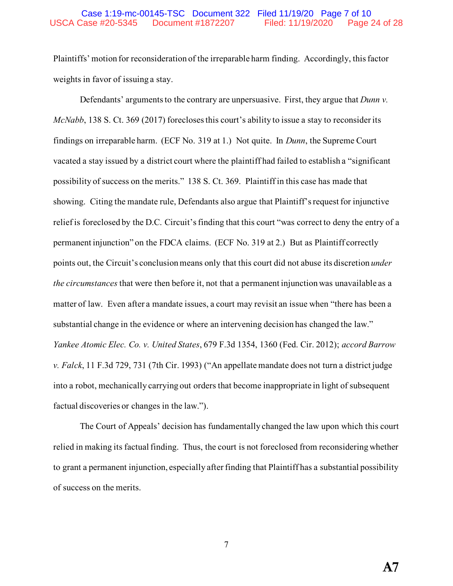#### Case 1:19-mc-00145-TSC Document 322 Filed 11/19/20 Page 7 of 10 USCA Case #20-5345 Document #1872207 Filed: 11/19/2020 Page 24 of 28

Plaintiffs' motion for reconsideration of the irreparable harm finding. Accordingly, this factor weights in favor of issuing a stay.

Defendants' arguments to the contrary are unpersuasive. First, they argue that *Dunn v. McNabb*, 138 S. Ct. 369 (2017) forecloses this court's ability to issue a stay to reconsider its findings on irreparable harm. (ECF No. 319 at 1.) Not quite. In *Dunn*, the Supreme Court vacated a stay issued by a district court where the plaintiff had failed to establish a "significant possibility of success on the merits." 138 S. Ct. 369. Plaintiff in this case has made that showing. Citing the mandate rule, Defendants also argue that Plaintiff's request for injunctive relief is foreclosed by the D.C. Circuit's finding that this court "was correct to deny the entry of a permanent injunction" on the FDCA claims. (ECF No. 319 at 2.) But as Plaintiff correctly points out, the Circuit's conclusion means only that this court did not abuse its discretion *under the circumstances* that were then before it, not that a permanent injunction was unavailable as a matter of law. Even after a mandate issues, a court may revisit an issue when "there has been a substantial change in the evidence or where an intervening decision has changed the law." *Yankee Atomic Elec. Co. v. United States*, 679 F.3d 1354, 1360 (Fed. Cir. 2012); *accord Barrow v. Falck*, 11 F.3d 729, 731 (7th Cir. 1993) ("An appellate mandate does not turn a district judge into a robot, mechanically carrying out orders that become inappropriate in light of subsequent factual discoveries or changes in the law.").

The Court of Appeals' decision has fundamentally changed the law upon which this court relied in making its factual finding. Thus, the court is not foreclosed from reconsidering whether to grant a permanent injunction, especially after finding that Plaintiff has a substantial possibility of success on the merits.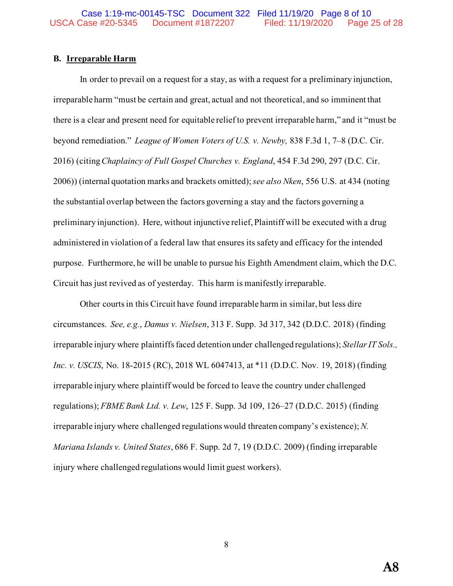### **B. Irreparable Harm**

In order to prevail on a request for a stay, as with a request for a preliminary injunction, irreparable harm "must be certain and great, actual and not theoretical, and so imminent that there is a clear and present need for equitable relief to prevent irreparable harm," and it "must be beyond remediation." *League of Women Voters of U.S. v. Newby,* 838 F.3d 1, 7–8 (D.C. Cir. 2016) (citing *Chaplaincy of Full Gospel Churches v. England*, 454 F.3d 290, 297 (D.C. Cir. 2006)) (internal quotation marks and brackets omitted); *see also Nken*, 556 U.S. at 434 (noting the substantial overlap between the factors governing a stay and the factors governing a preliminary injunction). Here, without injunctive relief, Plaintiff will be executed with a drug administered in violation of a federal law that ensures its safety and efficacy for the intended purpose. Furthermore, he will be unable to pursue his Eighth Amendment claim, which the D.C. Circuit has just revived as of yesterday. This harm is manifestly irreparable.

Other courts in this Circuit have found irreparable harm in similar, but less dire circumstances. *See, e.g.*, *Damus v. Nielsen*, 313 F. Supp. 3d 317, 342 (D.D.C. 2018) (finding irreparable injury where plaintiffs faced detention under challenged regulations); *Stellar IT Sols., Inc. v. USCIS*, No. 18-2015 (RC), 2018 WL 6047413, at \*11 (D.D.C. Nov. 19, 2018) (finding irreparable injury where plaintiff would be forced to leave the country under challenged regulations); *FBME Bank Ltd. v. Lew*, 125 F. Supp. 3d 109, 126–27 (D.D.C. 2015) (finding irreparable injury where challenged regulations would threaten company's existence); *N. Mariana Islands v. United States*, 686 F. Supp. 2d 7, 19 (D.D.C. 2009) (finding irreparable injury where challenged regulations would limit guest workers).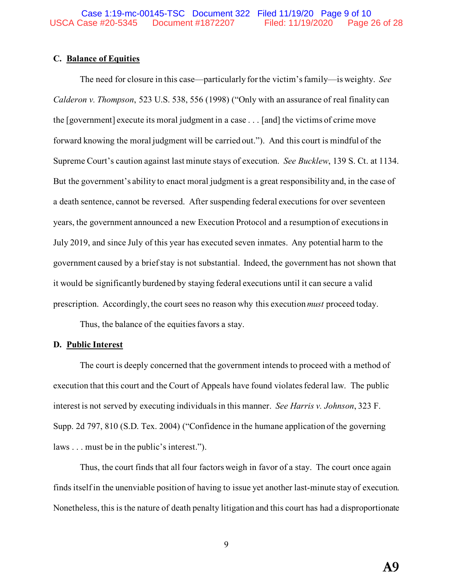### **C. Balance of Equities**

The need for closure in this case—particularly for the victim's family—is weighty. *See Calderon v. Thompson*, 523 U.S. 538, 556 (1998) ("Only with an assurance of real finality can the [government] execute its moral judgment in a case . . . [and] the victims of crime move forward knowing the moral judgment will be carried out."). And this court is mindful of the Supreme Court's caution against last minute stays of execution. *See Bucklew*, 139 S. Ct. at 1134. But the government's ability to enact moral judgment is a great responsibility and, in the case of a death sentence, cannot be reversed. After suspending federal executions for over seventeen years, the government announced a new Execution Protocol and a resumption of executions in July 2019, and since July of this year has executed seven inmates. Any potential harm to the government caused by a brief stay is not substantial. Indeed, the government has not shown that it would be significantly burdened by staying federal executions until it can secure a valid prescription. Accordingly, the court sees no reason why this execution *must* proceed today.

Thus, the balance of the equities favors a stay.

#### **D. Public Interest**

The court is deeply concerned that the government intends to proceed with a method of execution that this court and the Court of Appeals have found violates federal law. The public interest is not served by executing individuals in this manner. *See Harris v. Johnson*, 323 F. Supp. 2d 797, 810 (S.D. Tex. 2004) ("Confidence in the humane application of the governing laws . . . must be in the public's interest.").

Thus, the court finds that all four factors weigh in favor of a stay. The court once again finds itself in the unenviable position of having to issue yet another last-minute stay of execution. Nonetheless, this is the nature of death penalty litigation and this court has had a disproportionate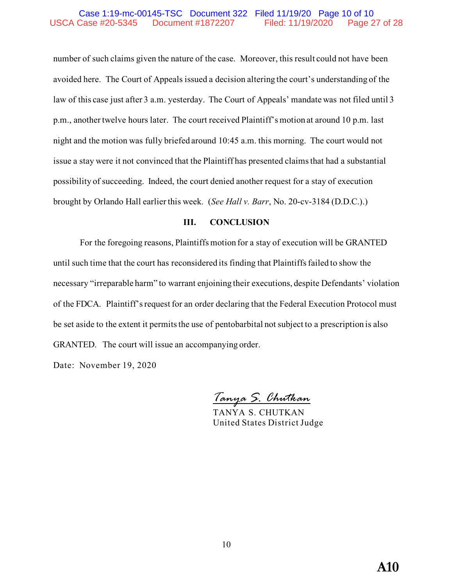#### Case 1:19-mc-00145-TSC Document 322 Filed 11/19/20 Page 10 of 10 USCA Case #20-5345 Document #1872207 Filed: 11/19/2020 Page 27 of 28

number of such claims given the nature of the case. Moreover, this result could not have been avoided here. The Court of Appeals issued a decision altering the court's understanding of the law of this case just after 3 a.m. yesterday. The Court of Appeals' mandate was not filed until 3 p.m., another twelve hours later. The court received Plaintiff's motion at around 10 p.m. last night and the motion was fully briefed around 10:45 a.m. this morning. The court would not issue a stay were it not convinced that the Plaintiff has presented claims that had a substantial possibility of succeeding. Indeed, the court denied another request for a stay of execution brought by Orlando Hall earlier this week. (*See Hall v. Barr*, No. 20-cv-3184 (D.D.C.).)

#### **III. CONCLUSION**

For the foregoing reasons, Plaintiffs motion for a stay of execution will be GRANTED until such time that the court has reconsidered its finding that Plaintiffs failed to show the necessary "irreparable harm" to warrant enjoining their executions, despite Defendants' violation of the FDCA. Plaintiff's request for an order declaring that the Federal Execution Protocol must be set aside to the extent it permits the use of pentobarbital not subject to a prescription is also GRANTED. The court will issue an accompanying order.

Date: November 19, 2020

*Tanya S. Chutkan*

TANYA S. CHUTKAN United States District Judge